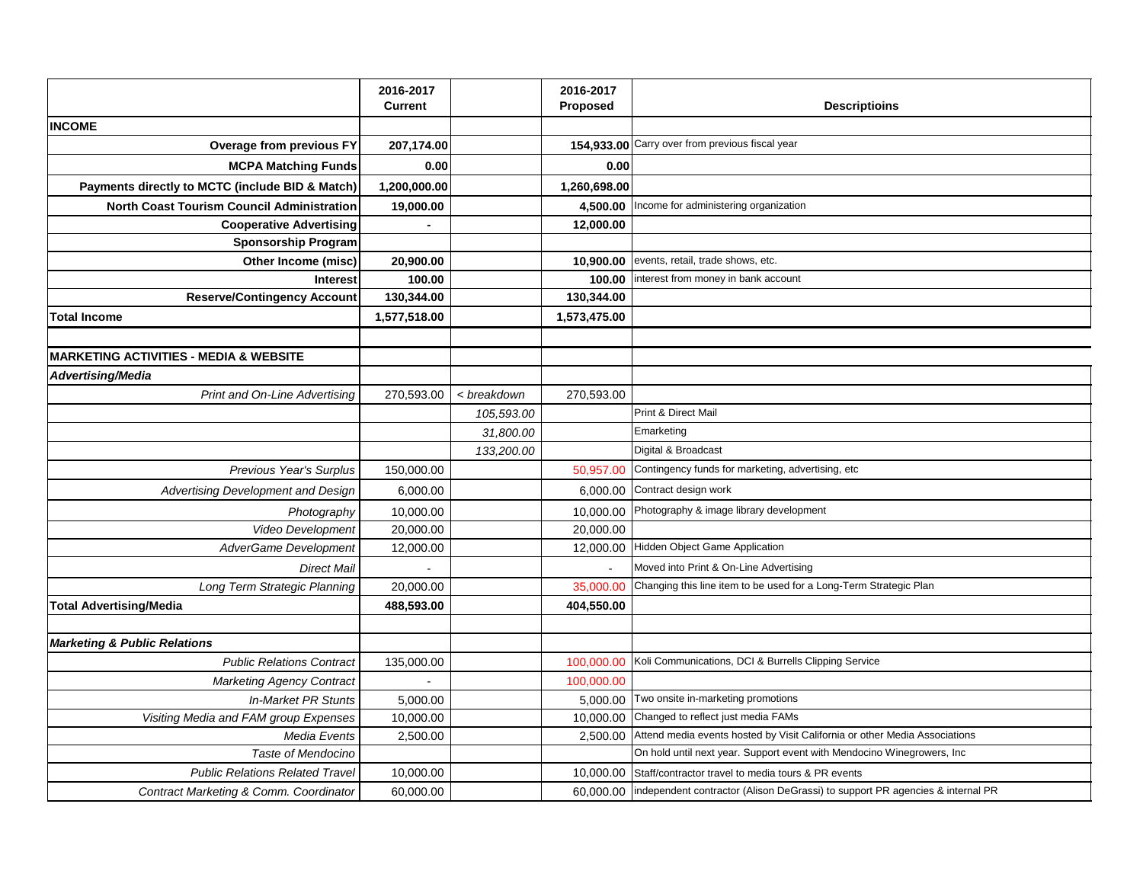|                                                   | 2016-2017      |             | 2016-2017      |                                                                               |
|---------------------------------------------------|----------------|-------------|----------------|-------------------------------------------------------------------------------|
|                                                   | <b>Current</b> |             | Proposed       | <b>Descriptioins</b>                                                          |
| <b>INCOME</b>                                     |                |             |                |                                                                               |
| Overage from previous FY                          | 207,174.00     |             |                | 154,933.00 Carry over from previous fiscal year                               |
| <b>MCPA Matching Funds</b>                        | 0.00           |             | 0.00           |                                                                               |
| Payments directly to MCTC (include BID & Match)   | 1,200,000.00   |             | 1,260,698.00   |                                                                               |
| <b>North Coast Tourism Council Administration</b> | 19,000.00      |             | 4,500.00       | Income for administering organization                                         |
| <b>Cooperative Advertising</b>                    |                |             | 12,000.00      |                                                                               |
| <b>Sponsorship Program</b>                        |                |             |                |                                                                               |
| Other Income (misc)                               | 20,900.00      |             | 10,900.00      | events, retail, trade shows, etc.                                             |
| <b>Interest</b>                                   | 100.00         |             | 100.00         | interest from money in bank account                                           |
| <b>Reserve/Contingency Account</b>                | 130,344.00     |             | 130,344.00     |                                                                               |
| <b>Total Income</b>                               | 1,577,518.00   |             | 1,573,475.00   |                                                                               |
|                                                   |                |             |                |                                                                               |
| <b>MARKETING ACTIVITIES - MEDIA &amp; WEBSITE</b> |                |             |                |                                                                               |
| <b>Advertising/Media</b>                          |                |             |                |                                                                               |
| <b>Print and On-Line Advertising</b>              | 270,593.00     | < breakdown | 270,593.00     |                                                                               |
|                                                   |                | 105,593.00  |                | Print & Direct Mail                                                           |
|                                                   |                | 31,800.00   |                | Emarketing                                                                    |
|                                                   |                | 133,200.00  |                | Digital & Broadcast                                                           |
| Previous Year's Surplus                           | 150,000.00     |             | 50,957.00      | Contingency funds for marketing, advertising, etc                             |
| Advertising Development and Design                | 6,000.00       |             | 6,000.00       | Contract design work                                                          |
| Photography                                       | 10,000.00      |             | 10,000.00      | Photography & image library development                                       |
| <b>Video Development</b>                          | 20,000.00      |             | 20,000.00      |                                                                               |
| AdverGame Development                             | 12,000.00      |             | 12,000.00      | Hidden Object Game Application                                                |
| <b>Direct Mail</b>                                |                |             | $\overline{a}$ | Moved into Print & On-Line Advertising                                        |
| Long Term Strategic Planning                      | 20,000.00      |             | 35,000.00      | Changing this line item to be used for a Long-Term Strategic Plan             |
| <b>Total Advertising/Media</b>                    | 488,593.00     |             | 404,550.00     |                                                                               |
|                                                   |                |             |                |                                                                               |
| <b>Marketing &amp; Public Relations</b>           |                |             |                |                                                                               |
| <b>Public Relations Contract</b>                  | 135,000.00     |             | 100,000.00     | Koli Communications, DCI & Burrells Clipping Service                          |
| <b>Marketing Agency Contract</b>                  |                |             | 100,000.00     |                                                                               |
| <b>In-Market PR Stunts</b>                        | 5,000.00       |             | 5,000.00       | Two onsite in-marketing promotions                                            |
| Visiting Media and FAM group Expenses             | 10,000.00      |             | 10,000.00      | Changed to reflect just media FAMs                                            |
| Media Events                                      | 2,500.00       |             | 2,500.00       | Attend media events hosted by Visit California or other Media Associations    |
| Taste of Mendocino                                |                |             |                | On hold until next year. Support event with Mendocino Winegrowers, Inc        |
| <b>Public Relations Related Travel</b>            | 10,000.00      |             | 10,000.00      | Staff/contractor travel to media tours & PR events                            |
| Contract Marketing & Comm. Coordinator            | 60,000.00      |             | 60.000.00      | independent contractor (Alison DeGrassi) to support PR agencies & internal PR |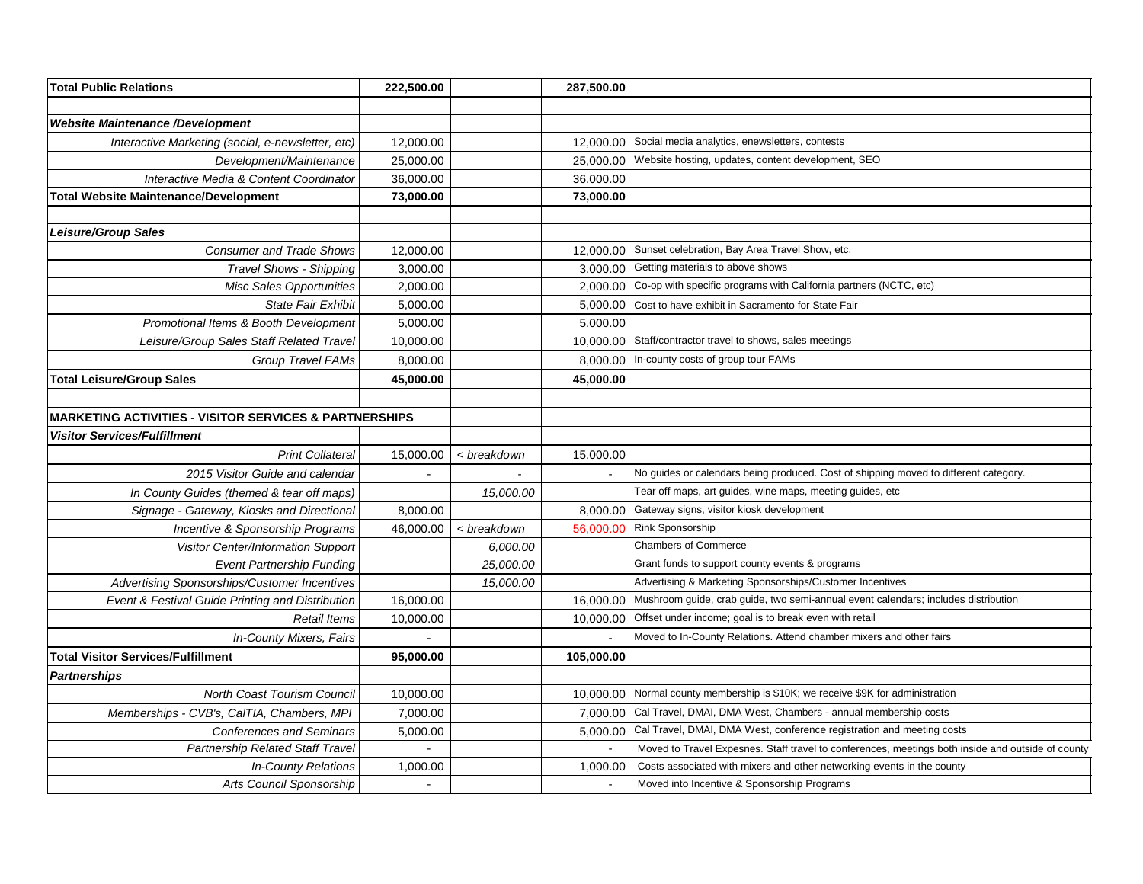| <b>Total Public Relations</b>                                     | 222,500.00 |             | 287,500.00 |                                                                                                   |
|-------------------------------------------------------------------|------------|-------------|------------|---------------------------------------------------------------------------------------------------|
|                                                                   |            |             |            |                                                                                                   |
| <b>Website Maintenance /Development</b>                           |            |             |            |                                                                                                   |
| Interactive Marketing (social, e-newsletter, etc)                 | 12,000.00  |             | 12,000.00  | Social media analytics, enewsletters, contests                                                    |
| Development/Maintenance                                           | 25,000.00  |             | 25,000.00  | Website hosting, updates, content development, SEO                                                |
| Interactive Media & Content Coordinator                           | 36,000.00  |             | 36,000.00  |                                                                                                   |
| <b>Total Website Maintenance/Development</b>                      | 73,000.00  |             | 73,000.00  |                                                                                                   |
|                                                                   |            |             |            |                                                                                                   |
| Leisure/Group Sales                                               |            |             |            |                                                                                                   |
| <b>Consumer and Trade Shows</b>                                   | 12,000.00  |             | 12,000.00  | Sunset celebration, Bay Area Travel Show, etc.                                                    |
| <b>Travel Shows - Shipping</b>                                    | 3,000.00   |             | 3,000.00   | Getting materials to above shows                                                                  |
| <b>Misc Sales Opportunities</b>                                   | 2,000.00   |             | 2,000.00   | Co-op with specific programs with California partners (NCTC, etc)                                 |
| <b>State Fair Exhibit</b>                                         | 5,000.00   |             | 5,000.00   | Cost to have exhibit in Sacramento for State Fair                                                 |
| Promotional Items & Booth Development                             | 5,000.00   |             | 5,000.00   |                                                                                                   |
| Leisure/Group Sales Staff Related Travel                          | 10,000.00  |             | 10,000.00  | Staff/contractor travel to shows, sales meetings                                                  |
| <b>Group Travel FAMs</b>                                          | 8,000.00   |             | 8,000.00   | In-county costs of group tour FAMs                                                                |
| <b>Total Leisure/Group Sales</b>                                  | 45,000.00  |             | 45,000.00  |                                                                                                   |
|                                                                   |            |             |            |                                                                                                   |
| <b>MARKETING ACTIVITIES - VISITOR SERVICES &amp; PARTNERSHIPS</b> |            |             |            |                                                                                                   |
| <b>Visitor Services/Fulfillment</b>                               |            |             |            |                                                                                                   |
| <b>Print Collateral</b>                                           | 15,000.00  | < breakdown | 15,000.00  |                                                                                                   |
| 2015 Visitor Guide and calendar                                   |            |             |            | No guides or calendars being produced. Cost of shipping moved to different category.              |
| In County Guides (themed & tear off maps)                         |            | 15,000.00   |            | Tear off maps, art guides, wine maps, meeting guides, etc                                         |
| Signage - Gateway, Kiosks and Directional                         | 8,000.00   |             | 8,000.00   | Gateway signs, visitor kiosk development                                                          |
| Incentive & Sponsorship Programs                                  | 46,000.00  | < breakdown | 56,000.00  | Rink Sponsorship                                                                                  |
| Visitor Center/Information Support                                |            | 6,000.00    |            | <b>Chambers of Commerce</b>                                                                       |
| <b>Event Partnership Funding</b>                                  |            | 25,000.00   |            | Grant funds to support county events & programs                                                   |
| Advertising Sponsorships/Customer Incentives                      |            | 15,000.00   |            | Advertising & Marketing Sponsorships/Customer Incentives                                          |
| Event & Festival Guide Printing and Distribution                  | 16,000.00  |             | 16,000.00  | Mushroom guide, crab guide, two semi-annual event calendars; includes distribution                |
| <b>Retail Items</b>                                               | 10,000.00  |             | 10,000.00  | Offset under income; goal is to break even with retail                                            |
| In-County Mixers, Fairs                                           |            |             |            | Moved to In-County Relations. Attend chamber mixers and other fairs                               |
| <b>Total Visitor Services/Fulfillment</b>                         | 95,000.00  |             | 105,000.00 |                                                                                                   |
| <b>Partnerships</b>                                               |            |             |            |                                                                                                   |
| North Coast Tourism Council                                       | 10,000.00  |             | 10,000.00  | Normal county membership is \$10K; we receive \$9K for administration                             |
| Memberships - CVB's, CalTIA, Chambers, MPI                        | 7,000.00   |             | 7,000.00   | Cal Travel, DMAI, DMA West, Chambers - annual membership costs                                    |
| <b>Conferences and Seminars</b>                                   | 5,000.00   |             | 5,000.00   | Cal Travel, DMAI, DMA West, conference registration and meeting costs                             |
| Partnership Related Staff Travel                                  | $\sim$     |             | $\sim$     | Moved to Travel Expesnes. Staff travel to conferences, meetings both inside and outside of county |
| In-County Relations                                               | 1,000.00   |             | 1,000.00   | Costs associated with mixers and other networking events in the county                            |
| Arts Council Sponsorship                                          |            |             | $\sim$     | Moved into Incentive & Sponsorship Programs                                                       |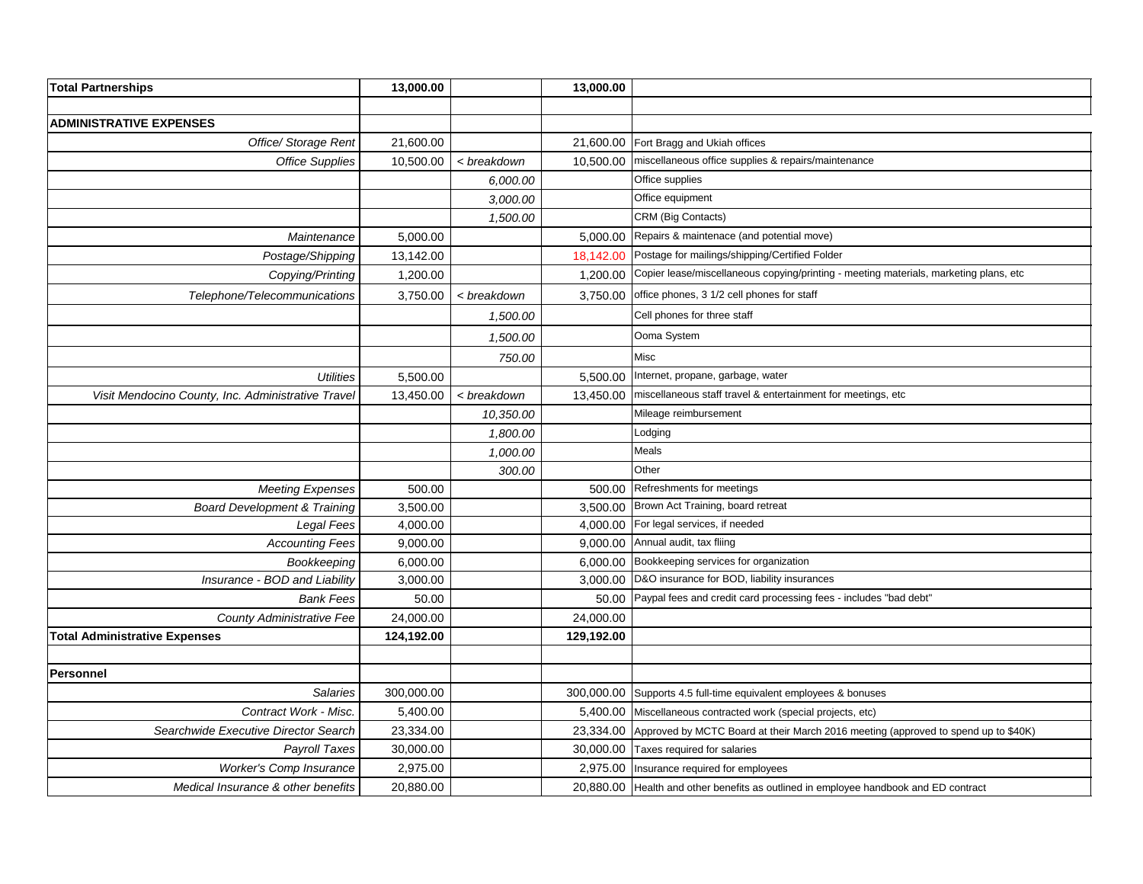| <b>Total Partnerships</b>                          | 13,000.00  |             | 13,000.00  |                                                                                       |
|----------------------------------------------------|------------|-------------|------------|---------------------------------------------------------------------------------------|
|                                                    |            |             |            |                                                                                       |
| <b>ADMINISTRATIVE EXPENSES</b>                     |            |             |            |                                                                                       |
| Office/ Storage Rent                               | 21,600.00  |             | 21,600.00  | Fort Bragg and Ukiah offices                                                          |
| <b>Office Supplies</b>                             | 10.500.00  | < breakdown | 10.500.00  | miscellaneous office supplies & repairs/maintenance                                   |
|                                                    |            | 6,000.00    |            | Office supplies                                                                       |
|                                                    |            | 3,000.00    |            | Office equipment                                                                      |
|                                                    |            | 1,500.00    |            | CRM (Big Contacts)                                                                    |
| Maintenance                                        | 5,000.00   |             | 5,000.00   | Repairs & maintenace (and potential move)                                             |
| Postage/Shipping                                   | 13,142.00  |             | 18,142.00  | Postage for mailings/shipping/Certified Folder                                        |
| Copying/Printing                                   | 1,200.00   |             | 1,200.00   | Copier lease/miscellaneous copying/printing - meeting materials, marketing plans, etc |
| Telephone/Telecommunications                       | 3,750.00   | < breakdown | 3,750.00   | office phones, 3 1/2 cell phones for staff                                            |
|                                                    |            | 1,500.00    |            | Cell phones for three staff                                                           |
|                                                    |            | 1,500.00    |            | Ooma System                                                                           |
|                                                    |            | 750.00      |            | Misc                                                                                  |
| <b>Utilities</b>                                   | 5,500.00   |             | 5,500.00   | Internet, propane, garbage, water                                                     |
| Visit Mendocino County, Inc. Administrative Travel | 13,450.00  | < breakdown | 13,450.00  | miscellaneous staff travel & entertainment for meetings, etc                          |
|                                                    |            | 10,350.00   |            | Mileage reimbursement                                                                 |
|                                                    |            | 1,800.00    |            | odging.                                                                               |
|                                                    |            | 1,000.00    |            | Meals                                                                                 |
|                                                    |            | 300.00      |            | Other                                                                                 |
| <b>Meeting Expenses</b>                            | 500.00     |             | 500.00     | Refreshments for meetings                                                             |
| <b>Board Development &amp; Training</b>            | 3,500.00   |             | 3,500.00   | Brown Act Training, board retreat                                                     |
| Legal Fees                                         | 4,000.00   |             | 4,000.00   | For legal services, if needed                                                         |
| <b>Accounting Fees</b>                             | 9,000.00   |             | 9,000.00   | Annual audit, tax fliing                                                              |
| Bookkeeping                                        | 6,000.00   |             | 6.000.00   | Bookkeeping services for organization                                                 |
| Insurance - BOD and Liability                      | 3,000.00   |             | 3,000.00   | D&O insurance for BOD, liability insurances                                           |
| <b>Bank Fees</b>                                   | 50.00      |             | 50.00      | Paypal fees and credit card processing fees - includes "bad debt"                     |
| <b>County Administrative Fee</b>                   | 24,000.00  |             | 24,000.00  |                                                                                       |
| <b>Total Administrative Expenses</b>               | 124,192.00 |             | 129,192.00 |                                                                                       |
|                                                    |            |             |            |                                                                                       |
| Personnel                                          |            |             |            |                                                                                       |
| <b>Salaries</b>                                    | 300,000.00 |             | 300,000.00 | Supports 4.5 full-time equivalent employees & bonuses                                 |
| Contract Work - Misc.                              | 5,400.00   |             | 5,400.00   | Miscellaneous contracted work (special projects, etc)                                 |
| Searchwide Executive Director Search               | 23,334.00  |             | 23,334.00  | Approved by MCTC Board at their March 2016 meeting (approved to spend up to \$40K)    |
| <b>Payroll Taxes</b>                               | 30,000.00  |             | 30,000.00  | Taxes required for salaries                                                           |
| Worker's Comp Insurance                            | 2,975.00   |             | 2,975.00   | Insurance required for employees                                                      |
| Medical Insurance & other benefits                 | 20,880.00  |             | 20.880.00  | Health and other benefits as outlined in employee handbook and ED contract            |